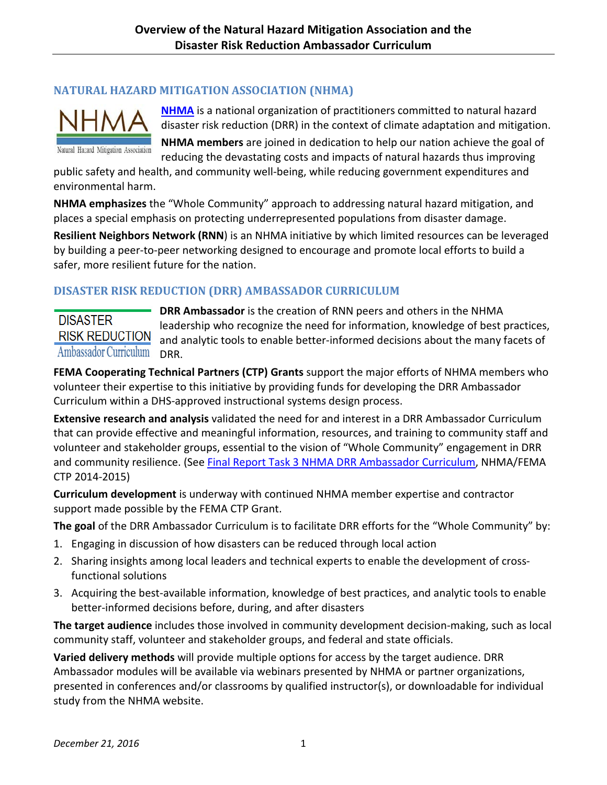## **NATURAL HAZARD MITIGATION ASSOCIATION (NHMA)**



Natural Hazard Mitigation Association

**[NHMA](http://nhma.info/)** is a national organization of practitioners committed to natural hazard disaster risk reduction (DRR) in the context of climate adaptation and mitigation.

**NHMA members** are joined in dedication to help our nation achieve the goal of reducing the devastating costs and impacts of natural hazards thus improving

public safety and health, and community well-being, while reducing government expenditures and environmental harm.

**NHMA emphasizes** the "Whole Community" approach to addressing natural hazard mitigation, and places a special emphasis on protecting underrepresented populations from disaster damage.

**Resilient Neighbors Network (RNN**) is an NHMA initiative by which limited resources can be leveraged by building a peer-to-peer networking designed to encourage and promote local efforts to build a safer, more resilient future for the nation.

## **DISASTER RISK REDUCTION (DRR) AMBASSADOR CURRICULUM**

## **DISASTER RISK REDUCTION** Ambassador Curriculum

**DRR Ambassador** is the creation of RNN peers and others in the NHMA leadership who recognize the need for information, knowledge of best practices, and analytic tools to enable better-informed decisions about the many facets of DRR.

**FEMA Cooperating Technical Partners (CTP) Grants** support the major efforts of NHMA members who volunteer their expertise to this initiative by providing funds for developing the DRR Ambassador Curriculum within a DHS-approved instructional systems design process.

**Extensive research and analysis** validated the need for and interest in a DRR Ambassador Curriculum that can provide effective and meaningful information, resources, and training to community staff and volunteer and stakeholder groups, essential to the vision of "Whole Community" engagement in DRR and community resilience. (See [Final Report Task 3 NHMA DRR Ambassador Curriculum,](http://nhma.info/wp-content/uploads/2016/04/FINAL_DRR-A_Curriculum-.pdf) NHMA/FEMA CTP 2014-2015)

**Curriculum development** is underway with continued NHMA member expertise and contractor support made possible by the FEMA CTP Grant.

**The goal** of the DRR Ambassador Curriculum is to facilitate DRR efforts for the "Whole Community" by:

- 1. Engaging in discussion of how disasters can be reduced through local action
- 2. Sharing insights among local leaders and technical experts to enable the development of crossfunctional solutions
- 3. Acquiring the best-available information, knowledge of best practices, and analytic tools to enable better-informed decisions before, during, and after disasters

**The target audience** includes those involved in community development decision-making, such as local community staff, volunteer and stakeholder groups, and federal and state officials.

**Varied delivery methods** will provide multiple options for access by the target audience. DRR Ambassador modules will be available via webinars presented by NHMA or partner organizations, presented in conferences and/or classrooms by qualified instructor(s), or downloadable for individual study from the NHMA website.